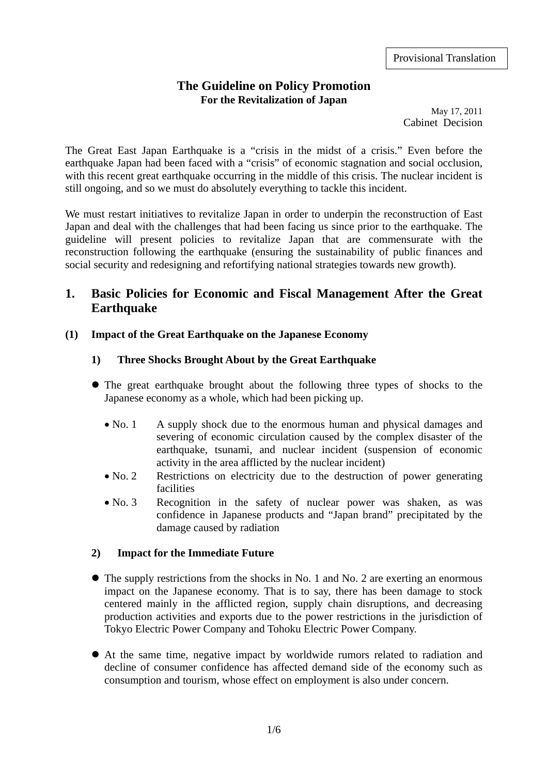## **The Guideline on Policy Promotion For the Revitalization of Japan**

May 17, 2011 Cabinet Decision

The Great East Japan Earthquake is a "crisis in the midst of a crisis." Even before the earthquake Japan had been faced with a "crisis" of economic stagnation and social occlusion, with this recent great earthquake occurring in the middle of this crisis. The nuclear incident is still ongoing, and so we must do absolutely everything to tackle this incident.

We must restart initiatives to revitalize Japan in order to underpin the reconstruction of East Japan and deal with the challenges that had been facing us since prior to the earthquake. The guideline will present policies to revitalize Japan that are commensurate with the reconstruction following the earthquake (ensuring the sustainability of public finances and social security and redesigning and refortifying national strategies towards new growth).

# **1. Basic Policies for Economic and Fiscal Management After the Great Earthquake**

## **(1) Impact of the Great Earthquake on the Japanese Economy**

## **1) Three Shocks Brought About by the Great Earthquake**

- The great earthquake brought about the following three types of shocks to the Japanese economy as a whole, which had been picking up.
	- No. 1 A supply shock due to the enormous human and physical damages and severing of economic circulation caused by the complex disaster of the earthquake, tsunami, and nuclear incident (suspension of economic activity in the area afflicted by the nuclear incident)
	- No. 2 Restrictions on electricity due to the destruction of power generating facilities
	- No. 3 Recognition in the safety of nuclear power was shaken, as was confidence in Japanese products and "Japan brand" precipitated by the damage caused by radiation

## **2) Impact for the Immediate Future**

- The supply restrictions from the shocks in No. 1 and No. 2 are exerting an enormous impact on the Japanese economy. That is to say, there has been damage to stock centered mainly in the afflicted region, supply chain disruptions, and decreasing production activities and exports due to the power restrictions in the jurisdiction of Tokyo Electric Power Company and Tohoku Electric Power Company.
- At the same time, negative impact by worldwide rumors related to radiation and decline of consumer confidence has affected demand side of the economy such as consumption and tourism, whose effect on employment is also under concern.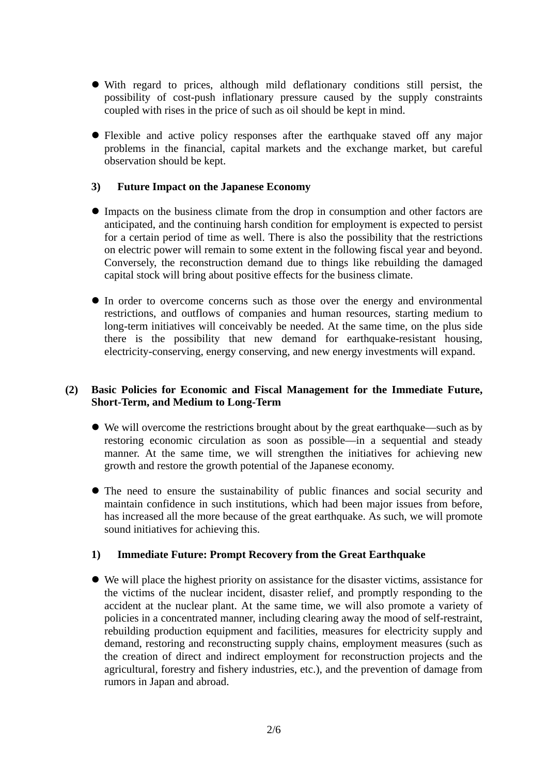- With regard to prices, although mild deflationary conditions still persist, the possibility of cost-push inflationary pressure caused by the supply constraints coupled with rises in the price of such as oil should be kept in mind.
- Flexible and active policy responses after the earthquake staved off any major problems in the financial, capital markets and the exchange market, but careful observation should be kept.

#### **3) Future Impact on the Japanese Economy**

- Impacts on the business climate from the drop in consumption and other factors are anticipated, and the continuing harsh condition for employment is expected to persist for a certain period of time as well. There is also the possibility that the restrictions on electric power will remain to some extent in the following fiscal year and beyond. Conversely, the reconstruction demand due to things like rebuilding the damaged capital stock will bring about positive effects for the business climate.
- In order to overcome concerns such as those over the energy and environmental restrictions, and outflows of companies and human resources, starting medium to long-term initiatives will conceivably be needed. At the same time, on the plus side there is the possibility that new demand for earthquake-resistant housing, electricity-conserving, energy conserving, and new energy investments will expand.

#### **(2) Basic Policies for Economic and Fiscal Management for the Immediate Future, Short-Term, and Medium to Long-Term**

- We will overcome the restrictions brought about by the great earthquake—such as by restoring economic circulation as soon as possible—in a sequential and steady manner. At the same time, we will strengthen the initiatives for achieving new growth and restore the growth potential of the Japanese economy.
- The need to ensure the sustainability of public finances and social security and maintain confidence in such institutions, which had been major issues from before, has increased all the more because of the great earthquake. As such, we will promote sound initiatives for achieving this.

#### **1) Immediate Future: Prompt Recovery from the Great Earthquake**

 We will place the highest priority on assistance for the disaster victims, assistance for the victims of the nuclear incident, disaster relief, and promptly responding to the accident at the nuclear plant. At the same time, we will also promote a variety of policies in a concentrated manner, including clearing away the mood of self-restraint, rebuilding production equipment and facilities, measures for electricity supply and demand, restoring and reconstructing supply chains, employment measures (such as the creation of direct and indirect employment for reconstruction projects and the agricultural, forestry and fishery industries, etc.), and the prevention of damage from rumors in Japan and abroad.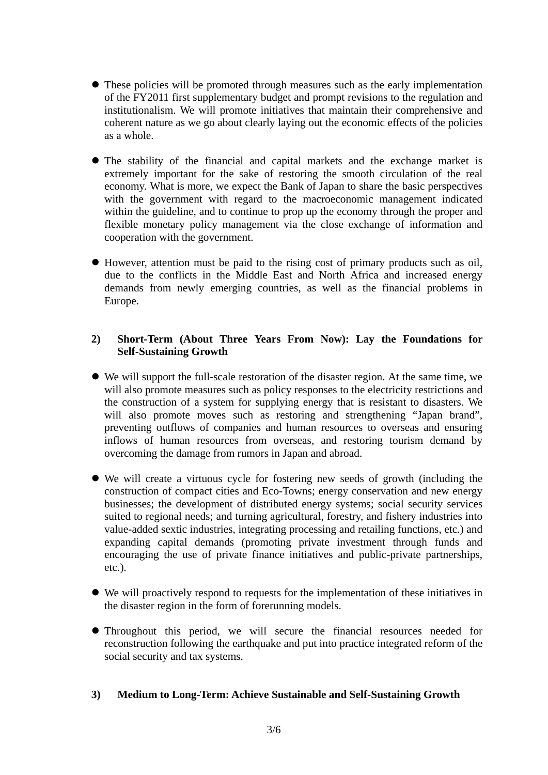- These policies will be promoted through measures such as the early implementation of the FY2011 first supplementary budget and prompt revisions to the regulation and institutionalism. We will promote initiatives that maintain their comprehensive and coherent nature as we go about clearly laying out the economic effects of the policies as a whole.
- The stability of the financial and capital markets and the exchange market is extremely important for the sake of restoring the smooth circulation of the real economy. What is more, we expect the Bank of Japan to share the basic perspectives with the government with regard to the macroeconomic management indicated within the guideline, and to continue to prop up the economy through the proper and flexible monetary policy management via the close exchange of information and cooperation with the government.
- However, attention must be paid to the rising cost of primary products such as oil, due to the conflicts in the Middle East and North Africa and increased energy demands from newly emerging countries, as well as the financial problems in Europe.

## **2) Short-Term (About Three Years From Now): Lay the Foundations for Self-Sustaining Growth**

- We will support the full-scale restoration of the disaster region. At the same time, we will also promote measures such as policy responses to the electricity restrictions and the construction of a system for supplying energy that is resistant to disasters. We will also promote moves such as restoring and strengthening "Japan brand", preventing outflows of companies and human resources to overseas and ensuring inflows of human resources from overseas, and restoring tourism demand by overcoming the damage from rumors in Japan and abroad.
- We will create a virtuous cycle for fostering new seeds of growth (including the construction of compact cities and Eco-Towns; energy conservation and new energy businesses; the development of distributed energy systems; social security services suited to regional needs; and turning agricultural, forestry, and fishery industries into value-added sextic industries, integrating processing and retailing functions, etc.) and expanding capital demands (promoting private investment through funds and encouraging the use of private finance initiatives and public-private partnerships, etc.).
- We will proactively respond to requests for the implementation of these initiatives in the disaster region in the form of forerunning models.
- Throughout this period, we will secure the financial resources needed for reconstruction following the earthquake and put into practice integrated reform of the social security and tax systems.

## **3) Medium to Long-Term: Achieve Sustainable and Self-Sustaining Growth**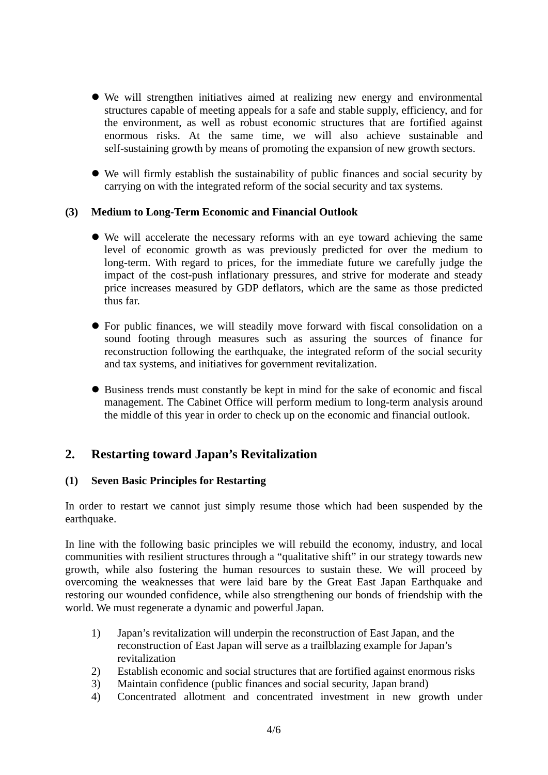- We will strengthen initiatives aimed at realizing new energy and environmental structures capable of meeting appeals for a safe and stable supply, efficiency, and for the environment, as well as robust economic structures that are fortified against enormous risks. At the same time, we will also achieve sustainable and self-sustaining growth by means of promoting the expansion of new growth sectors.
- We will firmly establish the sustainability of public finances and social security by carrying on with the integrated reform of the social security and tax systems.

## **(3) Medium to Long-Term Economic and Financial Outlook**

- We will accelerate the necessary reforms with an eye toward achieving the same level of economic growth as was previously predicted for over the medium to long-term. With regard to prices, for the immediate future we carefully judge the impact of the cost-push inflationary pressures, and strive for moderate and steady price increases measured by GDP deflators, which are the same as those predicted thus far.
- For public finances, we will steadily move forward with fiscal consolidation on a sound footing through measures such as assuring the sources of finance for reconstruction following the earthquake, the integrated reform of the social security and tax systems, and initiatives for government revitalization.
- Business trends must constantly be kept in mind for the sake of economic and fiscal management. The Cabinet Office will perform medium to long-term analysis around the middle of this year in order to check up on the economic and financial outlook.

## **2. Restarting toward Japan's Revitalization**

## **(1) Seven Basic Principles for Restarting**

In order to restart we cannot just simply resume those which had been suspended by the earthquake.

In line with the following basic principles we will rebuild the economy, industry, and local communities with resilient structures through a "qualitative shift" in our strategy towards new growth, while also fostering the human resources to sustain these. We will proceed by overcoming the weaknesses that were laid bare by the Great East Japan Earthquake and restoring our wounded confidence, while also strengthening our bonds of friendship with the world. We must regenerate a dynamic and powerful Japan.

- 1) Japan's revitalization will underpin the reconstruction of East Japan, and the reconstruction of East Japan will serve as a trailblazing example for Japan's revitalization
- 2) Establish economic and social structures that are fortified against enormous risks
- 3) Maintain confidence (public finances and social security, Japan brand)
- 4) Concentrated allotment and concentrated investment in new growth under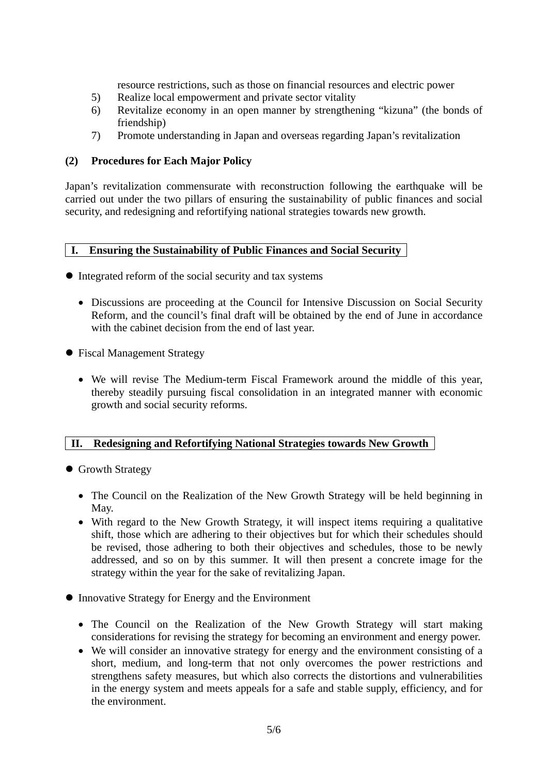resource restrictions, such as those on financial resources and electric power

- 5) Realize local empowerment and private sector vitality
- 6) Revitalize economy in an open manner by strengthening "kizuna" (the bonds of friendship)
- 7) Promote understanding in Japan and overseas regarding Japan's revitalization

## **(2) Procedures for Each Major Policy**

Japan's revitalization commensurate with reconstruction following the earthquake will be carried out under the two pillars of ensuring the sustainability of public finances and social security, and redesigning and refortifying national strategies towards new growth.

#### **I. Ensuring the Sustainability of Public Finances and Social Security**

- Integrated reform of the social security and tax systems
	- Discussions are proceeding at the Council for Intensive Discussion on Social Security Reform, and the council's final draft will be obtained by the end of June in accordance with the cabinet decision from the end of last year.
- Fiscal Management Strategy
	- We will revise The Medium-term Fiscal Framework around the middle of this year, thereby steadily pursuing fiscal consolidation in an integrated manner with economic growth and social security reforms.

#### **II. Redesigning and Refortifying National Strategies towards New Growth**

- **Growth Strategy** 
	- The Council on the Realization of the New Growth Strategy will be held beginning in May.
	- With regard to the New Growth Strategy, it will inspect items requiring a qualitative shift, those which are adhering to their objectives but for which their schedules should be revised, those adhering to both their objectives and schedules, those to be newly addressed, and so on by this summer. It will then present a concrete image for the strategy within the year for the sake of revitalizing Japan.
- Innovative Strategy for Energy and the Environment
	- The Council on the Realization of the New Growth Strategy will start making considerations for revising the strategy for becoming an environment and energy power.
	- We will consider an innovative strategy for energy and the environment consisting of a short, medium, and long-term that not only overcomes the power restrictions and strengthens safety measures, but which also corrects the distortions and vulnerabilities in the energy system and meets appeals for a safe and stable supply, efficiency, and for the environment.